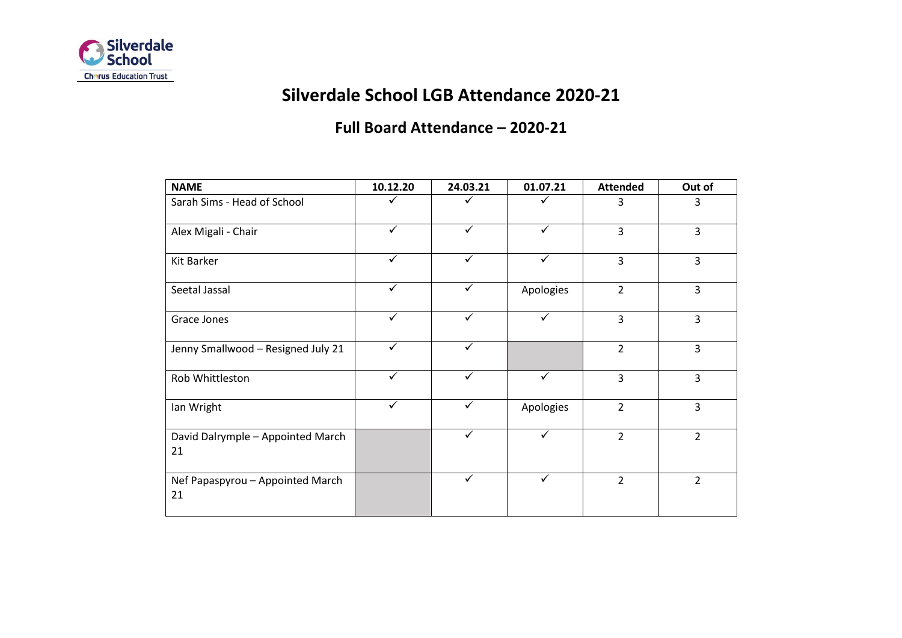

# **Silverdale School LGB Attendance 2020-21**

## **Full Board Attendance – 2020-21**

| <b>NAME</b>                             | 10.12.20     | 24.03.21     | 01.07.21     | <b>Attended</b> | Out of         |
|-----------------------------------------|--------------|--------------|--------------|-----------------|----------------|
| Sarah Sims - Head of School             | ✓            | ✓            | ✓            | 3               | 3              |
| Alex Migali - Chair                     | ✓            | ✓            | ✓            | 3               | 3              |
| <b>Kit Barker</b>                       | $\checkmark$ | $\checkmark$ | $\checkmark$ | $\overline{3}$  | 3              |
| Seetal Jassal                           | $\checkmark$ | ✓            | Apologies    | $\overline{2}$  | $\overline{3}$ |
| Grace Jones                             | $\checkmark$ | $\checkmark$ | $\checkmark$ | 3               | $\overline{3}$ |
| Jenny Smallwood - Resigned July 21      | $\checkmark$ | $\checkmark$ |              | $\overline{2}$  | 3              |
| Rob Whittleston                         | $\checkmark$ | $\checkmark$ | $\checkmark$ | 3               | 3              |
| Ian Wright                              | $\checkmark$ | $\checkmark$ | Apologies    | $\overline{2}$  | $\overline{3}$ |
| David Dalrymple - Appointed March<br>21 |              | $\checkmark$ | $\checkmark$ | $\overline{2}$  | $\overline{2}$ |
| Nef Papaspyrou - Appointed March<br>21  |              | $\checkmark$ | $\checkmark$ | $\overline{2}$  | $\overline{2}$ |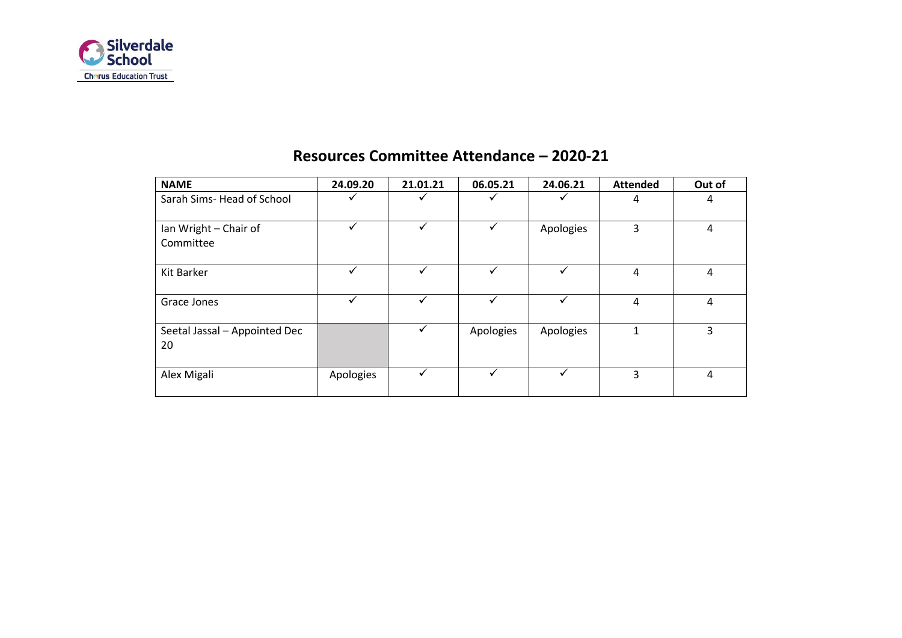

| <b>NAME</b>                         | 24.09.20  | 21.01.21 | 06.05.21  | 24.06.21  | <b>Attended</b> | Out of |
|-------------------------------------|-----------|----------|-----------|-----------|-----------------|--------|
| Sarah Sims-Head of School           |           |          |           |           | 4               | 4      |
| Ian Wright - Chair of<br>Committee  |           | ✓        |           | Apologies | 3               | 4      |
| Kit Barker                          |           | ✓        | ✓         | ✓         | 4               | 4      |
| Grace Jones                         |           | ✓        |           | ✓         | 4               | 4      |
| Seetal Jassal - Appointed Dec<br>20 |           |          | Apologies | Apologies | 1               | 3      |
| Alex Migali                         | Apologies |          | ✓         | ✓         | 3               | 4      |

#### **Resources Committee Attendance – 2020-21**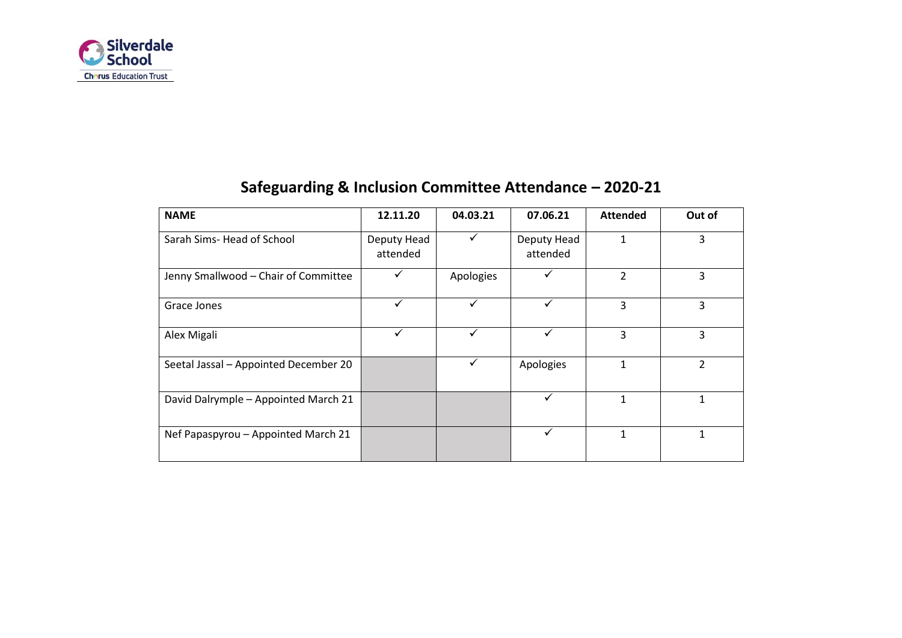

| <b>NAME</b>                           | 12.11.20                | 04.03.21  | 07.06.21                | <b>Attended</b> | Out of |
|---------------------------------------|-------------------------|-----------|-------------------------|-----------------|--------|
| Sarah Sims-Head of School             | Deputy Head<br>attended | ✓         | Deputy Head<br>attended |                 | 3      |
| Jenny Smallwood - Chair of Committee  |                         | Apologies |                         | 2               | 3      |
| Grace Jones                           | ✓                       | ✓         | ✓                       | 3               | 3      |
| Alex Migali                           | ✓                       |           |                         | 3               | 3      |
| Seetal Jassal - Appointed December 20 |                         | ✓         | Apologies               | 1               | 2      |
| David Dalrymple - Appointed March 21  |                         |           |                         | 1               |        |
| Nef Papaspyrou - Appointed March 21   |                         |           |                         |                 |        |

# **Safeguarding & Inclusion Committee Attendance – 2020-21**